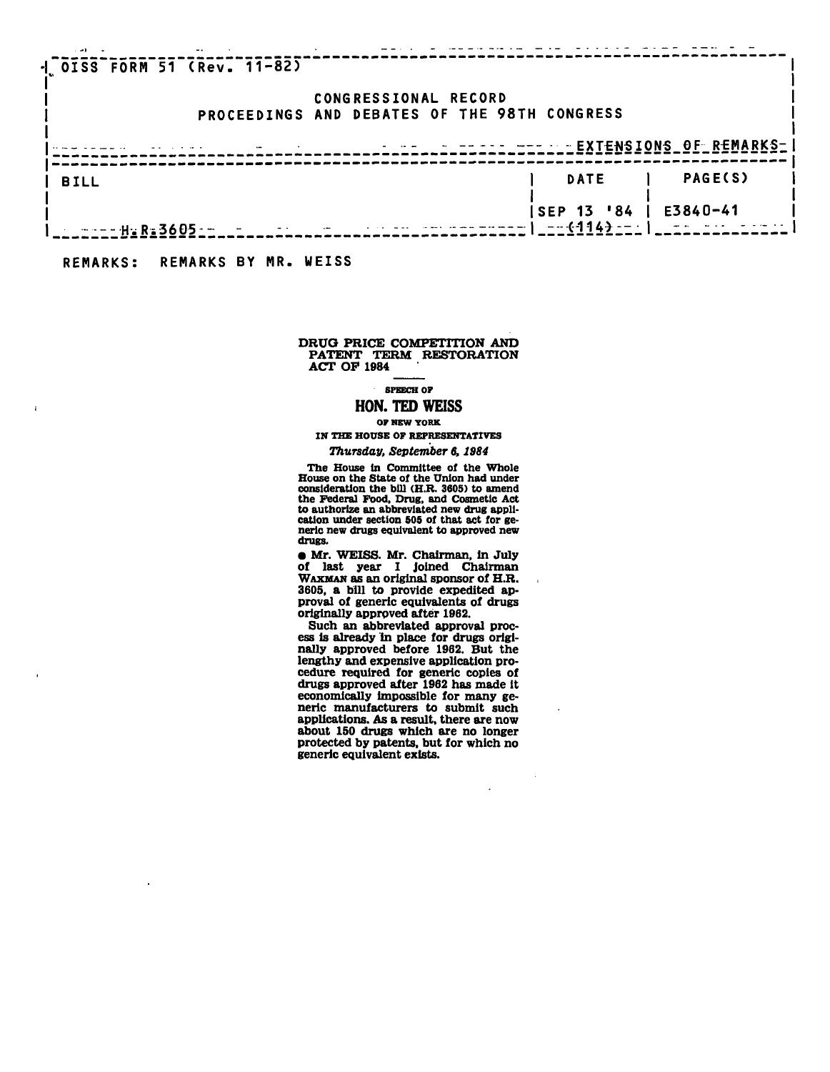| $-1$ $0153$ FORM 51 (Rev. 11-82)                                                                                                                                                                                                                                                                          |  |                      |                                 |                |
|-----------------------------------------------------------------------------------------------------------------------------------------------------------------------------------------------------------------------------------------------------------------------------------------------------------|--|----------------------|---------------------------------|----------------|
|                                                                                                                                                                                                                                                                                                           |  | CONGRESSIONAL RECORD |                                 |                |
| PROCEEDINGS AND DEBATES OF THE 98TH CONGRESS                                                                                                                                                                                                                                                              |  |                      |                                 |                |
|                                                                                                                                                                                                                                                                                                           |  |                      |                                 |                |
| <b>BILL</b>                                                                                                                                                                                                                                                                                               |  |                      | <b>DATE</b>                     | <b>PAGE(S)</b> |
| $\frac{1}{2}$ = $\frac{1}{2}$ + $\frac{1}{2}$ + $\frac{1}{2}$ + $\frac{1}{2}$ + $\frac{1}{2}$ + $\frac{1}{2}$ + $\frac{1}{2}$ + $\frac{1}{2}$ + $\frac{1}{2}$ + $\frac{1}{2}$ + $\frac{1}{2}$ + $\frac{1}{2}$ + $\frac{1}{2}$ + $\frac{1}{2}$ + $\frac{1}{2}$ + $\frac{1}{2}$ + $\frac{1}{2}$ + $\frac{1$ |  |                      | <b>SEP 13 '84'</b><br>$-4144-1$ | E3840-41       |
|                                                                                                                                                                                                                                                                                                           |  |                      |                                 |                |

**REMARKS: REMARKS BY MR. WEISS** 

 $\overline{1}$ 

### **DRUO PRICE COMPETITION AND PATENT TERM RESTORATION ACT OP 1984**

## **SPEECH OF**

# **HON. TED WEISS**

#### **OF NEW YORK**

**IN THE HOUSE OF REPRESENTATIVES** 

## *Thursday, September 6,1984*

**The House in Committee of the Whole**  House on the State of the Union had under<br>consideration the bill (H.R. 3605) to amend<br>the Federal Food, Drug, and Cosmetic Act<br>to authorize an abbreviated new drug appli-<br>cation under section 505 of that act for ge**neric new drugs equivalent to approved new drugs.** 

**• Mr. WEISS. Mr. Chairman, in July of last year I joined Chairman WAXMAN as an original sponsor of H.R. 3605, a bill to provide expedited approval of generic equivalents of drugs originally approved after 1962.** 

**Such an abbreviated approval process is already in place for drugs originally approved before 1962. But the lengthy and expensive application procedure required for generic copies of drugs approved after 1962 has made it economically impossible for many generic manufacturers to submit such applications. As a result, there are now about 150 drugs which are no longer protected by patents, but for which no generic equivalent exists.** 

 $\ddot{\phantom{a}}$